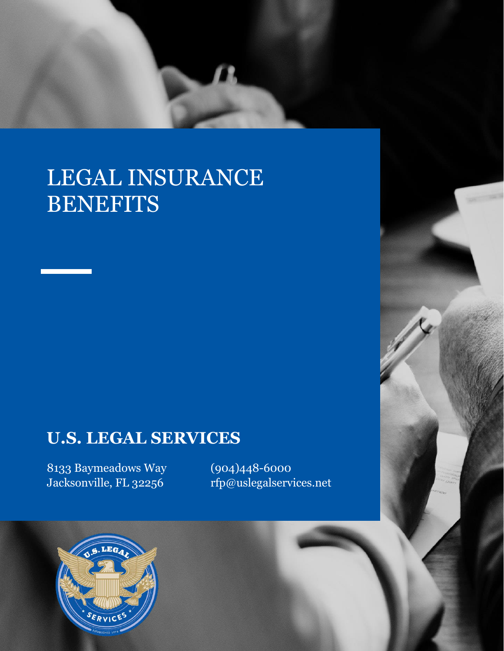## LEGAL INSURANCE **BENEFITS**

## **U.S. LEGAL SERVICES**

8133 Baymeadows Way Jacksonville, FL 32256

(904)448-6000 rfp@uslegalservices.net

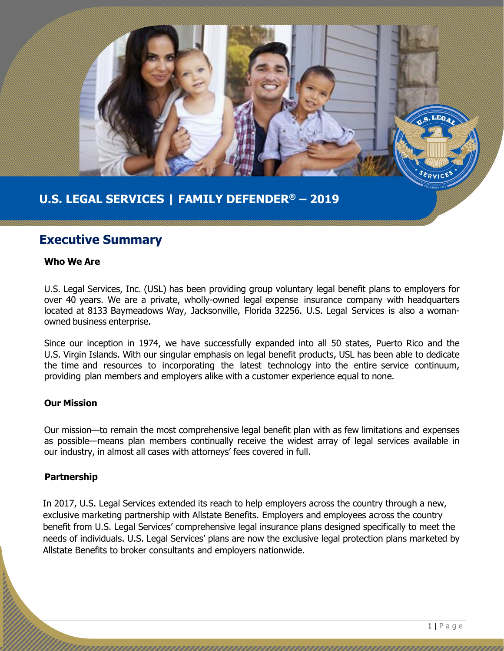

#### **U.S. LEGAL SERVICES | FAMILY DEFENDER® – 2019**

#### **Executive Summary**

#### **Who We Are**

U.S. Legal Services, Inc. (USL) has been providing group voluntary legal benefit plans to employers for over 40 years. We are a private, wholly-owned legal expense insurance company with headquarters located at 8133 Baymeadows Way, Jacksonville, Florida 32256. U.S. Legal Services is also a womanowned business enterprise.

Since our inception in 1974, we have successfully expanded into all 50 states, Puerto Rico and the U.S. Virgin Islands. With our singular emphasis on legal benefit products, USL has been able to dedicate the time and resources to incorporating the latest technology into the entire service continuum, providing plan members and employers alike with a customer experience equal to none.

#### **Our Mission**

Our mission—to remain the most comprehensive legal benefit plan with as few limitations and expenses as possible—means plan members continually receive the widest array of legal services available in our industry, in almost all cases with attorneys' fees covered in full.

#### **Partnership**

In 2017, U.S. Legal Services extended its reach to help employers across the country through a new, exclusive marketing partnership with Allstate Benefits. Employers and employees across the country benefit from U.S. Legal Services' comprehensive legal insurance plans designed specifically to meet the needs of individuals. U.S. Legal Services' plans are now the exclusive legal protection plans marketed by Allstate Benefits to broker consultants and employers nationwide.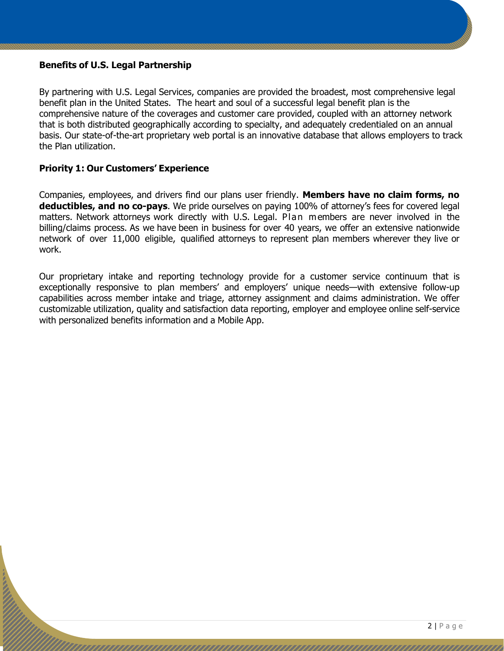#### **Benefits of U.S. Legal Partnership**

By partnering with U.S. Legal Services, companies are provided the broadest, most comprehensive legal benefit plan in the United States. The heart and soul of a successful legal benefit plan is the comprehensive nature of the coverages and customer care provided, coupled with an attorney network that is both distributed geographically according to specialty, and adequately credentialed on an annual basis. Our state-of-the-art proprietary web portal is an innovative database that allows employers to track the Plan utilization.

#### **Priority 1: Our Customers' Experience**

Companies, employees, and drivers find our plans user friendly. **Members have no claim forms, no deductibles, and no co-pays**. We pride ourselves on paying 100% of attorney's fees for covered legal matters. Network attorneys work directly with U.S. Legal. Plan members are never involved in the billing/claims process. As we have been in business for over 40 years, we offer an extensive nationwide network of over 11,000 eligible, qualified attorneys to represent plan members wherever they live or work.

Our proprietary intake and reporting technology provide for a customer service continuum that is exceptionally responsive to plan members' and employers' unique needs—with extensive follow-up capabilities across member intake and triage, attorney assignment and claims administration. We offer customizable utilization, quality and satisfaction data reporting, employer and employee online self-service with personalized benefits information and a Mobile App.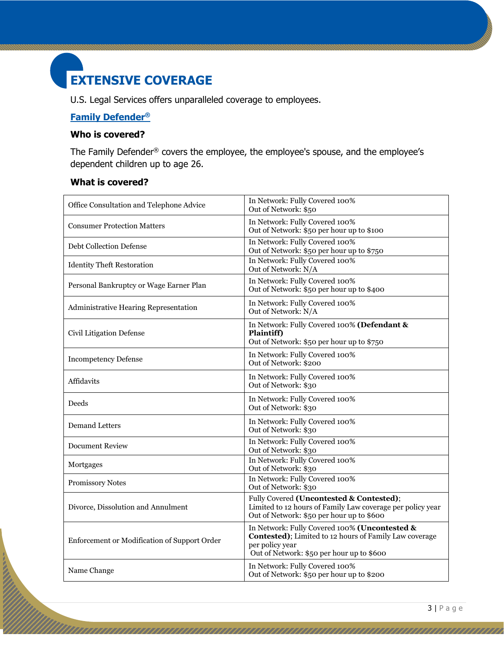### **EXTENSIVE COVERAGE**

U.S. Legal Services offers unparalleled coverage to employees.

#### **Family Defender®**

#### **Who is covered?**

The Family Defender® covers the employee, the employee's spouse, and the employee's dependent children up to age 26.

#### **What is covered?**

しんり

| Office Consultation and Telephone Advice     | In Network: Fully Covered 100%<br>Out of Network: \$50                                                                                                                  |
|----------------------------------------------|-------------------------------------------------------------------------------------------------------------------------------------------------------------------------|
| <b>Consumer Protection Matters</b>           | In Network: Fully Covered 100%<br>Out of Network: \$50 per hour up to \$100                                                                                             |
| <b>Debt Collection Defense</b>               | In Network: Fully Covered 100%<br>Out of Network: \$50 per hour up to \$750                                                                                             |
| <b>Identity Theft Restoration</b>            | In Network: Fully Covered 100%<br>Out of Network: N/A                                                                                                                   |
| Personal Bankruptcy or Wage Earner Plan      | In Network: Fully Covered 100%<br>Out of Network: \$50 per hour up to \$400                                                                                             |
| Administrative Hearing Representation        | In Network: Fully Covered 100%<br>Out of Network: N/A                                                                                                                   |
| Civil Litigation Defense                     | In Network: Fully Covered 100% (Defendant &<br>Plaintiff)<br>Out of Network: \$50 per hour up to \$750                                                                  |
| <b>Incompetency Defense</b>                  | In Network: Fully Covered 100%<br>Out of Network: \$200                                                                                                                 |
| Affidavits                                   | In Network: Fully Covered 100%<br>Out of Network: \$30                                                                                                                  |
| Deeds                                        | In Network: Fully Covered 100%<br>Out of Network: \$30                                                                                                                  |
| <b>Demand Letters</b>                        | In Network: Fully Covered 100%<br>Out of Network: \$30                                                                                                                  |
| <b>Document Review</b>                       | In Network: Fully Covered 100%<br>Out of Network: \$30                                                                                                                  |
| Mortgages                                    | In Network: Fully Covered 100%<br>Out of Network: \$30                                                                                                                  |
| <b>Promissory Notes</b>                      | In Network: Fully Covered 100%<br>Out of Network: \$30                                                                                                                  |
| Divorce, Dissolution and Annulment           | Fully Covered (Uncontested & Contested);<br>Limited to 12 hours of Family Law coverage per policy year<br>Out of Network: \$50 per hour up to \$600                     |
| Enforcement or Modification of Support Order | In Network: Fully Covered 100% (Uncontested &<br>Contested); Limited to 12 hours of Family Law coverage<br>per policy year<br>Out of Network: \$50 per hour up to \$600 |
| Name Change                                  | In Network: Fully Covered 100%<br>Out of Network: \$50 per hour up to \$200                                                                                             |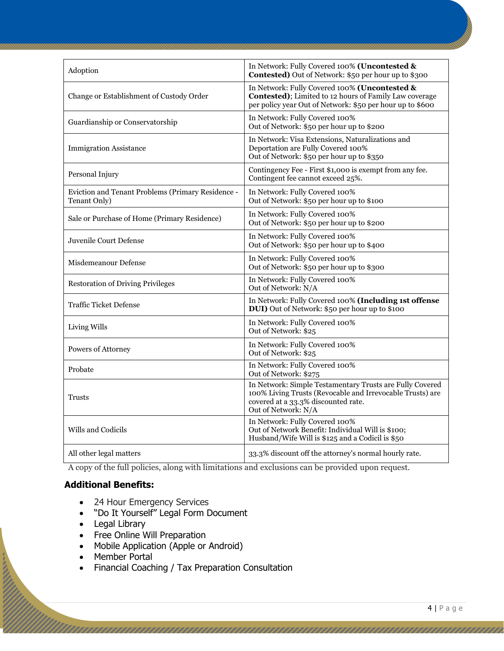| Adoption                                                          | In Network: Fully Covered 100% (Uncontested &<br>Contested) Out of Network: \$50 per hour up to \$300                                                                               |
|-------------------------------------------------------------------|-------------------------------------------------------------------------------------------------------------------------------------------------------------------------------------|
| Change or Establishment of Custody Order                          | In Network: Fully Covered 100% (Uncontested &<br><b>Contested)</b> ; Limited to 12 hours of Family Law coverage<br>per policy year Out of Network: \$50 per hour up to \$600        |
| Guardianship or Conservatorship                                   | In Network: Fully Covered 100%<br>Out of Network: \$50 per hour up to \$200                                                                                                         |
| <b>Immigration Assistance</b>                                     | In Network: Visa Extensions, Naturalizations and<br>Deportation are Fully Covered 100%<br>Out of Network: \$50 per hour up to \$350                                                 |
| Personal Injury                                                   | Contingency Fee - First \$1,000 is exempt from any fee.<br>Contingent fee cannot exceed 25%.                                                                                        |
| Eviction and Tenant Problems (Primary Residence -<br>Tenant Only) | In Network: Fully Covered 100%<br>Out of Network: \$50 per hour up to \$100                                                                                                         |
| Sale or Purchase of Home (Primary Residence)                      | In Network: Fully Covered 100%<br>Out of Network: \$50 per hour up to \$200                                                                                                         |
| Juvenile Court Defense                                            | In Network: Fully Covered 100%<br>Out of Network: \$50 per hour up to \$400                                                                                                         |
| Misdemeanour Defense                                              | In Network: Fully Covered 100%<br>Out of Network: \$50 per hour up to \$300                                                                                                         |
| <b>Restoration of Driving Privileges</b>                          | In Network: Fully Covered 100%<br>Out of Network: N/A                                                                                                                               |
| <b>Traffic Ticket Defense</b>                                     | In Network: Fully Covered 100% (Including 1st offense<br>DUI) Out of Network: \$50 per hour up to \$100                                                                             |
| Living Wills                                                      | In Network: Fully Covered 100%<br>Out of Network: \$25                                                                                                                              |
| Powers of Attorney                                                | In Network: Fully Covered 100%<br>Out of Network: \$25                                                                                                                              |
| Probate                                                           | In Network: Fully Covered 100%<br>Out of Network: \$275                                                                                                                             |
| Trusts                                                            | In Network: Simple Testamentary Trusts are Fully Covered<br>100% Living Trusts (Revocable and Irrevocable Trusts) are<br>covered at a 33.3% discounted rate.<br>Out of Network: N/A |
| Wills and Codicils                                                | In Network: Fully Covered 100%<br>Out of Network Benefit: Individual Will is \$100;<br>Husband/Wife Will is \$125 and a Codicil is \$50                                             |
| All other legal matters                                           | 33.3% discount off the attorney's normal hourly rate.                                                                                                                               |

A copy of the full policies, along with limitations and exclusions can be provided upon request.

#### **Additional Benefits:**

- 24 Hour Emergency Services
- "Do It Yourself" Legal Form Document
- Legal Library
- Free Online Will Preparation
- Mobile Application (Apple or Android)
- Member Portal

**CONTRACTOR** 

• Financial Coaching / Tax Preparation Consultation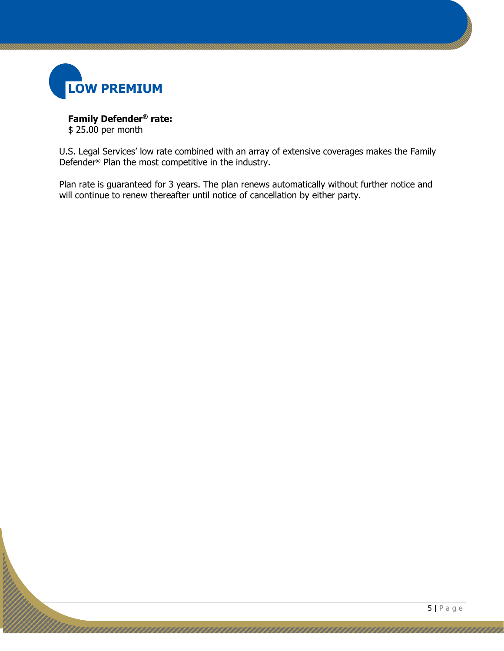

Ź

**Family Defender® rate:** \$ 25.00 per month

U.S. Legal Services' low rate combined with an array of extensive coverages makes the Family Defender® Plan the most competitive in the industry.

Plan rate is guaranteed for 3 years. The plan renews automatically without further notice and will continue to renew thereafter until notice of cancellation by either party.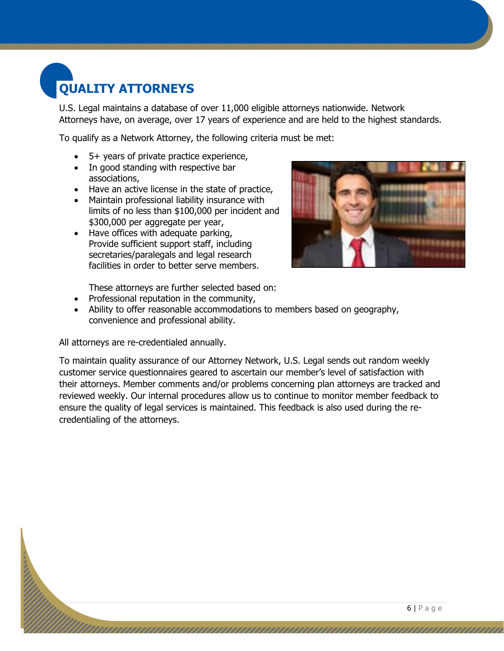## **QUALITY ATTORNEYS**

U.S. Legal maintains a database of over 11,000 eligible attorneys nationwide. Network Attorneys have, on average, over 17 years of experience and are held to the highest standards.

To qualify as a Network Attorney, the following criteria must be met:

- 5+ years of private practice experience,
- In good standing with respective bar associations,
- Have an active license in the state of practice,
- Maintain professional liability insurance with limits of no less than \$100,000 per incident and \$300,000 per aggregate per year,
- Have offices with adequate parking, Provide sufficient support staff, including secretaries/paralegals and legal research facilities in order to better serve members.



These attorneys are further selected based on:

- Professional reputation in the community,
- Ability to offer reasonable accommodations to members based on geography, convenience and professional ability.

All attorneys are re-credentialed annually.

To maintain quality assurance of our Attorney Network, U.S. Legal sends out random weekly customer service questionnaires geared to ascertain our member's level of satisfaction with their attorneys. Member comments and/or problems concerning plan attorneys are tracked and reviewed weekly. Our internal procedures allow us to continue to monitor member feedback to ensure the quality of legal services is maintained. This feedback is also used during the recredentialing of the attorneys.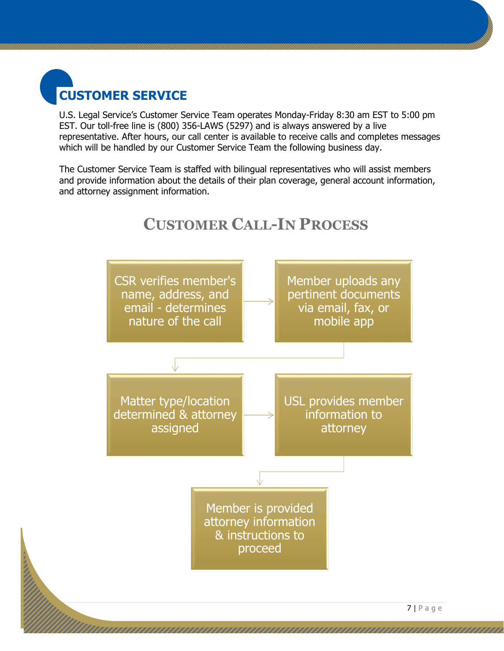

U.S. Legal Service's Customer Service Team operates Monday-Friday 8:30 am EST to 5:00 pm EST. Our toll-free line is (800) 356-LAWS (5297) and is always answered by a live representative. After hours, our call center is available to receive calls and completes messages which will be handled by our Customer Service Team the following business day.

The Customer Service Team is staffed with bilingual representatives who will assist members and provide information about the details of their plan coverage, general account information, and attorney assignment information.



#### **CUSTOMER CALL-IN PROCESS**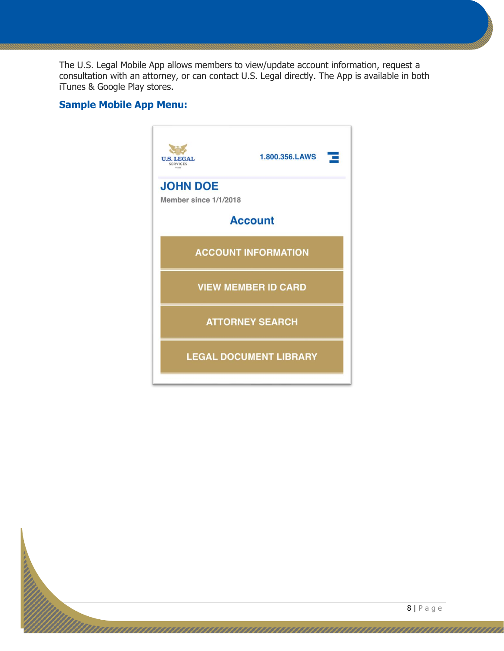The U.S. Legal Mobile App allows members to view/update account information, request a consultation with an attorney, or can contact U.S. Legal directly. The App is available in both iTunes & Google Play stores.

#### **Sample Mobile App Menu:**



ananan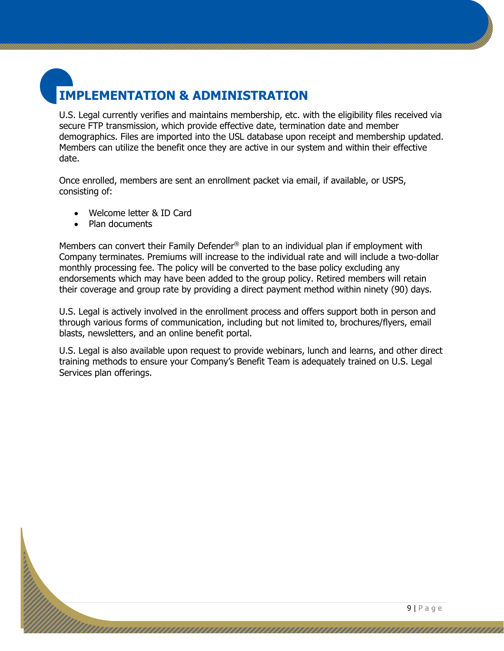## **IMPLEMENTATION & ADMINISTRATION**

U.S. Legal currently verifies and maintains membership, etc. with the eligibility files received via secure FTP transmission, which provide effective date, termination date and member demographics. Files are imported into the USL database upon receipt and membership updated. Members can utilize the benefit once they are active in our system and within their effective date.

Once enrolled, members are sent an enrollment packet via email, if available, or USPS, consisting of:

- Welcome letter & ID Card
- Plan documents

Members can convert their Family Defender® plan to an individual plan if employment with Company terminates. Premiums will increase to the individual rate and will include a two-dollar monthly processing fee. The policy will be converted to the base policy excluding any endorsements which may have been added to the group policy. Retired members will retain their coverage and group rate by providing a direct payment method within ninety (90) days.

U.S. Legal is actively involved in the enrollment process and offers support both in person and through various forms of communication, including but not limited to, brochures/flyers, email blasts, newsletters, and an online benefit portal.

U.S. Legal is also available upon request to provide webinars, lunch and learns, and other direct training methods to ensure your Company's Benefit Team is adequately trained on U.S. Legal Services plan offerings.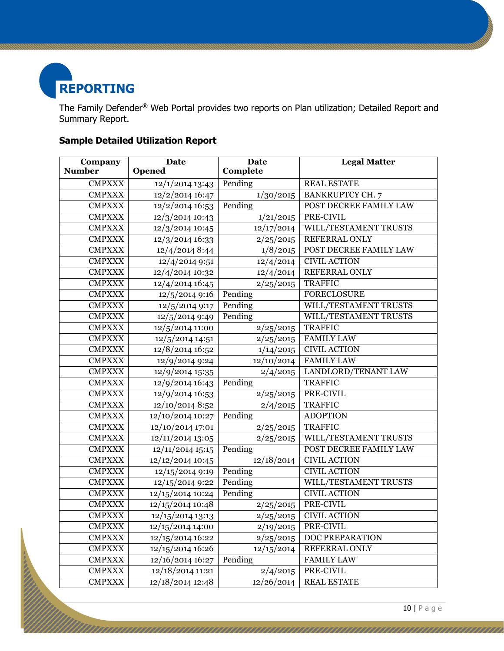

The Family Defender® Web Portal provides two reports on Plan utilization; Detailed Report and Summary Report.

#### **Sample Detailed Utilization Report**

| Company       | <b>Date</b>                 | Date               | <b>Legal Matter</b>     |  |
|---------------|-----------------------------|--------------------|-------------------------|--|
| <b>Number</b> | Opened                      | Complete           |                         |  |
| <b>CMPXXX</b> | $12/1/2014$ 13:43           | Pending            | <b>REAL ESTATE</b>      |  |
| <b>CMPXXX</b> | 12/2/2014 16:47             | 1/30/2015          | <b>BANKRUPTCY CH. 7</b> |  |
| <b>CMPXXX</b> | 12/2/2014 16:53             | Pending            | POST DECREE FAMILY LAW  |  |
| <b>CMPXXX</b> | 12/3/2014 10:43             | 1/21/2015          | PRE-CIVIL               |  |
| <b>CMPXXX</b> | 12/3/2014 10:45             | 12/17/2014         | WILL/TESTAMENT TRUSTS   |  |
| <b>CMPXXX</b> | 12/3/2014 16:33             | 2/25/2015          | REFERRAL ONLY           |  |
| <b>CMPXXX</b> | 12/4/2014 8:44              | 1/8/2015           | POST DECREE FAMILY LAW  |  |
| <b>CMPXXX</b> | 12/4/2014 9:51              | 12/4/2014          | <b>CIVIL ACTION</b>     |  |
| <b>CMPXXX</b> | 12/4/2014 10:32             | 12/4/2014          | REFERRAL ONLY           |  |
| <b>CMPXXX</b> | 12/4/2014 16:45             | 2/25/2015          | <b>TRAFFIC</b>          |  |
| <b>CMPXXX</b> | 12/5/2014 9:16              | Pending            | <b>FORECLOSURE</b>      |  |
| <b>CMPXXX</b> | 12/5/2014 9:17              | Pending            | WILL/TESTAMENT TRUSTS   |  |
| <b>CMPXXX</b> | 12/5/2014 9:49              | Pending            | WILL/TESTAMENT TRUSTS   |  |
| <b>CMPXXX</b> | 12/5/2014 11:00             | 2/25/2015          | <b>TRAFFIC</b>          |  |
| <b>CMPXXX</b> | 12/5/2014 14:51             | 2/25/2015          | <b>FAMILY LAW</b>       |  |
| <b>CMPXXX</b> | 12/8/2014 16:52             | 1/14/2015          | <b>CIVIL ACTION</b>     |  |
| <b>CMPXXX</b> | 12/9/2014 9:24              | 12/10/2014         | <b>FAMILY LAW</b>       |  |
| <b>CMPXXX</b> | 12/9/2014 15:35             | 2/4/2015           | LANDLORD/TENANT LAW     |  |
| <b>CMPXXX</b> | 12/9/2014 16:43             | Pending            | <b>TRAFFIC</b>          |  |
| <b>CMPXXX</b> | 12/9/2014 16:53             | 2/25/2015          | PRE-CIVIL               |  |
| <b>CMPXXX</b> | 12/10/2014 8:52             | 2/4/2015           | <b>TRAFFIC</b>          |  |
| <b>CMPXXX</b> | 12/10/2014 10:27            | Pending            | <b>ADOPTION</b>         |  |
| <b>CMPXXX</b> | 12/10/2014 17:01            | 2/25/2015          | <b>TRAFFIC</b>          |  |
| <b>CMPXXX</b> | $\frac{12}{11}{2014}$ 13:05 | $\sqrt{2}/25/2015$ | WILL/TESTAMENT TRUSTS   |  |
| <b>CMPXXX</b> | 12/11/2014 15:15            | Pending            | POST DECREE FAMILY LAW  |  |
| <b>CMPXXX</b> | 12/12/2014 10:45            | 12/18/2014         | <b>CIVIL ACTION</b>     |  |
| <b>CMPXXX</b> | 12/15/2014 9:19             | Pending            | <b>CIVIL ACTION</b>     |  |
| <b>CMPXXX</b> | 12/15/2014 9:22             | Pending            | WILL/TESTAMENT TRUSTS   |  |
| <b>CMPXXX</b> | 12/15/2014 10:24            | Pending            | <b>CIVIL ACTION</b>     |  |
| <b>CMPXXX</b> | 12/15/2014 10:48            | 2/25/2015          | PRE-CIVIL               |  |
| <b>CMPXXX</b> | 12/15/2014 13:13            | 2/25/2015          | <b>CIVIL ACTION</b>     |  |
| <b>CMPXXX</b> | 12/15/2014 14:00            | 2/19/2015          | PRE-CIVIL               |  |
| <b>CMPXXX</b> | 12/15/2014 16:22            | 2/25/2015          | DOC PREPARATION         |  |
| <b>CMPXXX</b> | 12/15/2014 16:26            | 12/15/2014         | REFERRAL ONLY           |  |
| <b>CMPXXX</b> | 12/16/2014 16:27            | Pending            | <b>FAMILY LAW</b>       |  |
| <b>CMPXXX</b> | 12/18/2014 11:21            | 2/4/2015           | PRE-CIVIL               |  |
| <b>CMPXXX</b> | 12/18/2014 12:48            | 12/26/2014         | <b>REAL ESTATE</b>      |  |

10 | P a g e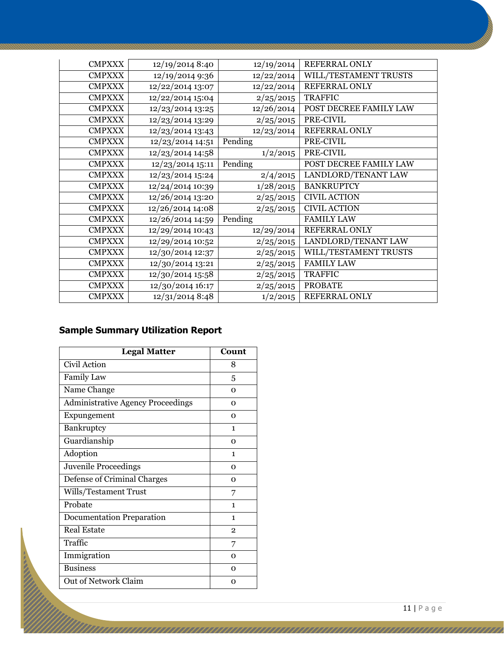| <b>CMPXXX</b> | 12/19/2014 8:40  | 12/19/2014 | <b>REFERRAL ONLY</b>   |  |
|---------------|------------------|------------|------------------------|--|
| <b>CMPXXX</b> | 12/19/2014 9:36  | 12/22/2014 | WILL/TESTAMENT TRUSTS  |  |
| <b>CMPXXX</b> | 12/22/2014 13:07 | 12/22/2014 | REFERRAL ONLY          |  |
| <b>CMPXXX</b> | 12/22/2014 15:04 | 2/25/2015  | <b>TRAFFIC</b>         |  |
| <b>CMPXXX</b> | 12/23/2014 13:25 | 12/26/2014 | POST DECREE FAMILY LAW |  |
| <b>CMPXXX</b> | 12/23/2014 13:29 | 2/25/2015  | PRE-CIVIL              |  |
| <b>CMPXXX</b> | 12/23/2014 13:43 | 12/23/2014 | REFERRAL ONLY          |  |
| <b>CMPXXX</b> | 12/23/2014 14:51 | Pending    | PRE-CIVIL              |  |
| <b>CMPXXX</b> | 12/23/2014 14:58 | 1/2/2015   | PRE-CIVIL              |  |
| <b>CMPXXX</b> | 12/23/2014 15:11 | Pending    | POST DECREE FAMILY LAW |  |
| <b>CMPXXX</b> | 12/23/2014 15:24 | 2/4/2015   | LANDLORD/TENANT LAW    |  |
| <b>CMPXXX</b> | 12/24/2014 10:39 | 1/28/2015  | <b>BANKRUPTCY</b>      |  |
| <b>CMPXXX</b> | 12/26/2014 13:20 | 2/25/2015  | <b>CIVIL ACTION</b>    |  |
| <b>CMPXXX</b> | 12/26/2014 14:08 | 2/25/2015  | <b>CIVIL ACTION</b>    |  |
| <b>CMPXXX</b> | 12/26/2014 14:59 | Pending    | <b>FAMILY LAW</b>      |  |
| <b>CMPXXX</b> | 12/29/2014 10:43 | 12/29/2014 | <b>REFERRAL ONLY</b>   |  |
| <b>CMPXXX</b> | 12/29/2014 10:52 | 2/25/2015  | LANDLORD/TENANT LAW    |  |
| <b>CMPXXX</b> | 12/30/2014 12:37 | 2/25/2015  | WILL/TESTAMENT TRUSTS  |  |
| <b>CMPXXX</b> | 12/30/2014 13:21 | 2/25/2015  | <b>FAMILY LAW</b>      |  |
| <b>CMPXXX</b> | 12/30/2014 15:58 | 2/25/2015  | <b>TRAFFIC</b>         |  |
| <b>CMPXXX</b> | 12/30/2014 16:17 | 2/25/2015  | <b>PROBATE</b>         |  |
| <b>CMPXXX</b> | 12/31/2014 8:48  | 1/2/2015   | REFERRAL ONLY          |  |

#### **Sample Summary Utilization Report**

| <b>Legal Matter</b>                      | Count          |
|------------------------------------------|----------------|
| Civil Action                             | 8              |
| <b>Family Law</b>                        | 5              |
| Name Change                              | $\Omega$       |
| <b>Administrative Agency Proceedings</b> | $\Omega$       |
| Expungement                              | $\Omega$       |
| Bankruptcy                               | 1              |
| Guardianship                             | $\Omega$       |
| Adoption                                 | 1              |
| <b>Juvenile Proceedings</b>              | $\Omega$       |
| Defense of Criminal Charges              | $\Omega$       |
| Wills/Testament Trust                    | 7              |
| Probate                                  | 1              |
| <b>Documentation Preparation</b>         | $\mathbf{1}$   |
| <b>Real Estate</b>                       | $\overline{2}$ |
| Traffic                                  | 7              |
| Immigration                              | $\Omega$       |
| <b>Business</b>                          | $\Omega$       |
| Out of Network Claim                     | $\Omega$       |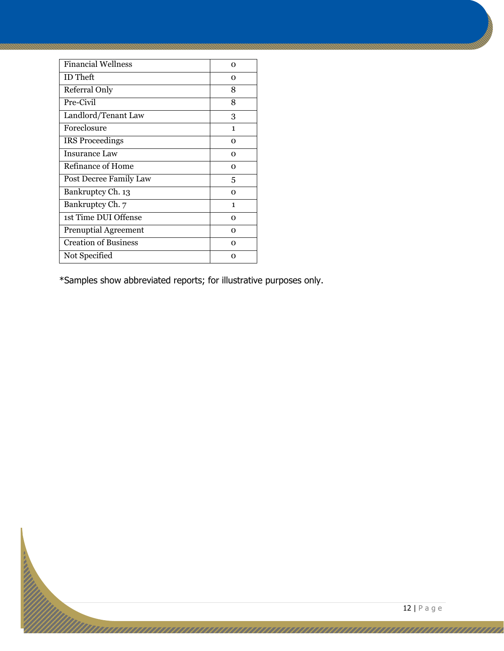| <b>Financial Wellness</b>   | Ω        |
|-----------------------------|----------|
| <b>ID</b> Theft             | Ω        |
| Referral Only               | 8        |
| Pre-Civil                   | 8        |
| Landlord/Tenant Law         | 3        |
| Foreclosure                 | 1        |
| <b>IRS Proceedings</b>      | O        |
| <b>Insurance Law</b>        | Ω        |
| Refinance of Home           | Ω        |
| Post Decree Family Law      | 5        |
| Bankruptcy Ch. 13           | Ω        |
| Bankruptcy Ch. 7            | 1        |
| 1st Time DUI Offense        | $\Omega$ |
| <b>Prenuptial Agreement</b> | Ω        |
| <b>Creation of Business</b> | $\Omega$ |
| Not Specified               | Ω        |

\*Samples show abbreviated reports; for illustrative purposes only.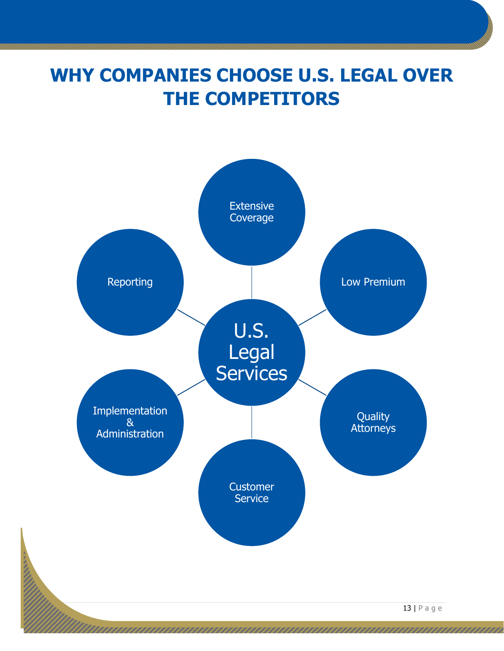## **WHY COMPANIES CHOOSE U.S. LEGAL OVER THE COMPETITORS**